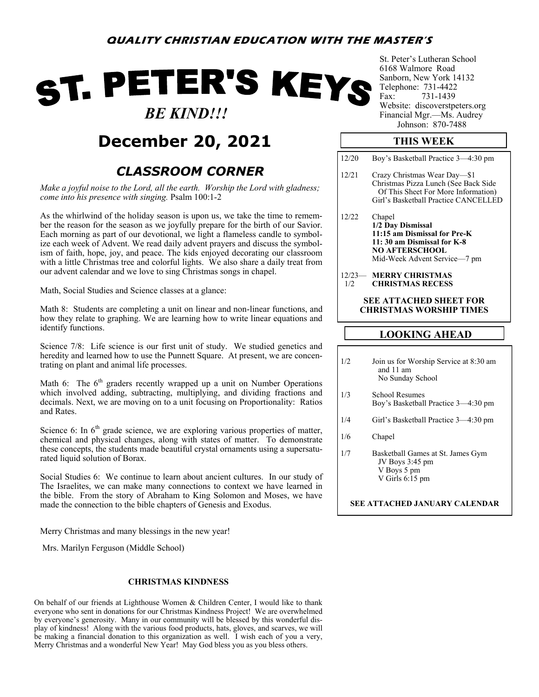# ST. PETER'S KEYS  *BE KIND!!!*

## **December 20, 2021**

### *CLASSROOM CORNER*

*Make a joyful noise to the Lord, all the earth. Worship the Lord with gladness; come into his presence with singing.* Psalm 100:1-2

As the whirlwind of the holiday season is upon us, we take the time to remember the reason for the season as we joyfully prepare for the birth of our Savior. Each morning as part of our devotional, we light a flameless candle to symbolize each week of Advent. We read daily advent prayers and discuss the symbolism of faith, hope, joy, and peace. The kids enjoyed decorating our classroom with a little Christmas tree and colorful lights. We also share a daily treat from our advent calendar and we love to sing Christmas songs in chapel.

Math, Social Studies and Science classes at a glance:

Math 8: Students are completing a unit on linear and non-linear functions, and how they relate to graphing. We are learning how to write linear equations and identify functions.

Science 7/8: Life science is our first unit of study. We studied genetics and heredity and learned how to use the Punnett Square. At present, we are concentrating on plant and animal life processes.

Math 6: The  $6<sup>th</sup>$  graders recently wrapped up a unit on Number Operations which involved adding, subtracting, multiplying, and dividing fractions and decimals. Next, we are moving on to a unit focusing on Proportionality: Ratios and Rates.

Science 6: In  $6<sup>th</sup>$  grade science, we are exploring various properties of matter, chemical and physical changes, along with states of matter. To demonstrate these concepts, the students made beautiful crystal ornaments using a supersaturated liquid solution of Borax.

Social Studies 6: We continue to learn about ancient cultures. In our study of The Israelites, we can make many connections to context we have learned in the bible. From the story of Abraham to King Solomon and Moses, we have made the connection to the bible chapters of Genesis and Exodus.

Merry Christmas and many blessings in the new year!

Mrs. Marilyn Ferguson (Middle School)

#### **CHRISTMAS KINDNESS**

On behalf of our friends at Lighthouse Women & Children Center, I would like to thank everyone who sent in donations for our Christmas Kindness Project! We are overwhelmed by everyone's generosity. Many in our community will be blessed by this wonderful display of kindness! Along with the various food products, hats, gloves, and scarves, we will be making a financial donation to this organization as well. I wish each of you a very, Merry Christmas and a wonderful New Year! May God bless you as you bless others.

St. Peter's Lutheran School 6168 Walmore Road Sanborn, New York 14132 Telephone: 731-4422 Fax: 731-1439 Website: discoverstpeters.org Financial Mgr.—Ms. Audrey Johnson: 870-7488

### **THIS WEEK**

| 12/20                                                    | Boy's Basketball Practice 3-4:30 pm                                                                                                                 |  |  |  |  |
|----------------------------------------------------------|-----------------------------------------------------------------------------------------------------------------------------------------------------|--|--|--|--|
| 12/21                                                    | Crazy Christmas Wear Day-\$1<br>Christmas Pizza Lunch (See Back Side<br>Of This Sheet For More Information)<br>Girl's Basketball Practice CANCELLED |  |  |  |  |
| 12/22                                                    | Chapel<br>1/2 Day Dismissal<br>11:15 am Dismissal for Pre-K<br>11:30 am Dismissal for K-8<br><b>NO AFTERSCHOOL</b><br>Mid-Week Advent Service-7 pm  |  |  |  |  |
| 1/2                                                      | 12/23— MERRY CHRISTMAS<br><b>CHRISTMAS RECESS</b>                                                                                                   |  |  |  |  |
| SEE ATTACHED SHEET FOR<br><b>CHRISTMAS WORSHIP TIMES</b> |                                                                                                                                                     |  |  |  |  |
| LOOKING AHEAD                                            |                                                                                                                                                     |  |  |  |  |

- 1/2 Join us for Worship Service at 8:30 am and 11 am No Sunday School
- 1/3 School Resumes Boy's Basketball Practice 3—4:30 pm
- 1/4 Girl's Basketball Practice 3—4:30 pm
- 1/6 Chapel
- 1/7 Basketball Games at St. James Gym JV Boys 3:45 pm V Boys 5 pm V Girls 6:15 pm

#### **SEE ATTACHED JANUARY CALENDAR**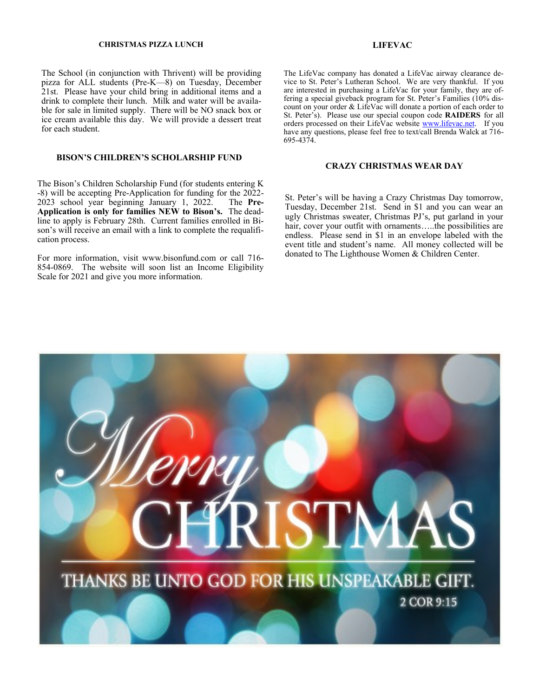#### **CHRISTMAS PIZZA LUNCH LIFEVAC**

The School (in conjunction with Thrivent) will be providing pizza for ALL students (Pre-K—8) on Tuesday, December 21st. Please have your child bring in additional items and a drink to complete their lunch. Milk and water will be available for sale in limited supply. There will be NO snack box or ice cream available this day. We will provide a dessert treat for each student.

#### **BISON'S CHILDREN'S SCHOLARSHIP FUND**

The Bison's Children Scholarship Fund (for students entering K -8) will be accepting Pre-Application for funding for the 2022- 2023 school year beginning January 1, 2022. The **Pre-Application is only for families NEW to Bison's.** The deadline to apply is February 28th. Current families enrolled in Bison's will receive an email with a link to complete the requalification process.

For more information, visit www.bisonfund.com or call 716- 854-0869. The website will soon list an Income Eligibility Scale for 2021 and give you more information.

The LifeVac company has donated a LifeVac airway clearance device to St. Peter's Lutheran School. We are very thankful. If you are interested in purchasing a LifeVac for your family, they are offering a special giveback program for St. Peter's Families (10% discount on your order & LifeVac will donate a portion of each order to St. Peter's). Please use our special coupon code **RAIDERS** for all orders processed on their LifeVac website [www.lifevac.net.](http://www.lifevac.net) If you have any questions, please feel free to text/call Brenda Walck at 716- 695-4374.

#### **CRAZY CHRISTMAS WEAR DAY**

St. Peter's will be having a Crazy Christmas Day tomorrow, Tuesday, December 21st. Send in \$1 and you can wear an ugly Christmas sweater, Christmas PJ's, put garland in your hair, cover your outfit with ornaments…..the possibilities are endless. Please send in \$1 in an envelope labeled with the event title and student's name. All money collected will be donated to The Lighthouse Women & Children Center.

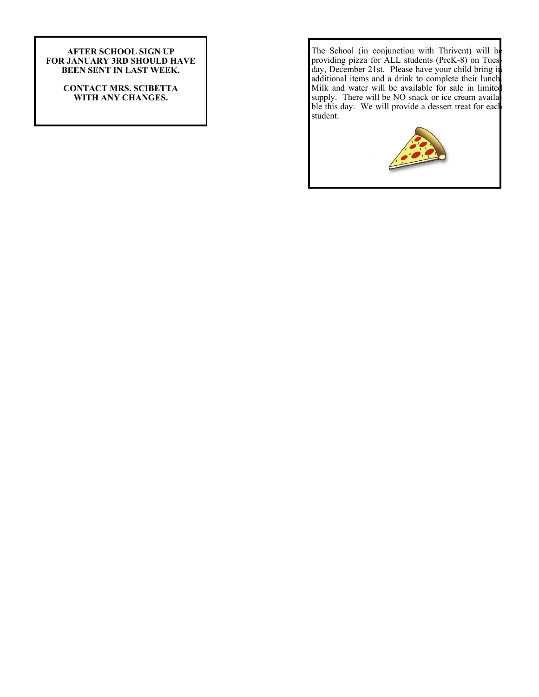#### **AFTER SCHOOL SIGN UP FOR JANUARY 3RD SHOULD HAVE BEEN SENT IN LAST WEEK.**

**CONTACT MRS. SCIBETTA WITH ANY CHANGES.** 

The School (in conjunction with Thrivent) will be providing pizza for ALL students (PreK-8) on Tuesday, December 21st. Please have your child bring in additional items and a drink to complete their lunch. Milk and water will be available for sale in limited supply. There will be NO snack or ice cream available this day. We will provide a dessert treat for eacl student.